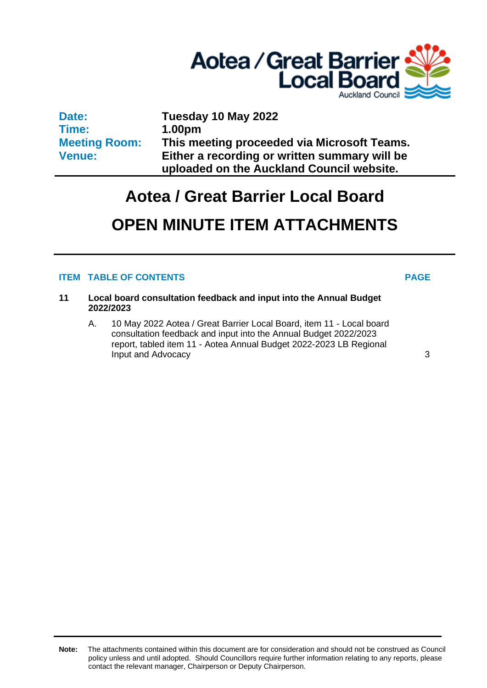

**Date: Time: Meeting Room: Venue:**

**Tuesday 10 May 2022 1.00pm This meeting proceeded via Microsoft Teams. Either a recording or written summary will be uploaded on the Auckland Council website.**

# **Aotea / Great Barrier Local Board**

## **OPEN MINUTE ITEM ATTACHMENTS**

#### **ITEM TABLE OF CONTENTS PAGE**

- **11 Local board consultation feedback and input into the Annual Budget 2022/2023**
	- A. 10 May 2022 Aotea / Great Barrier Local Board, item 11 Local board consultation feedback and input into the Annual Budget 2022/2023 report, tabled item 11 - Aotea Annual Budget 2022-2023 LB Regional **Input and Advocacy** [3](#page-2-0)

**Note:** The attachments contained within this document are for consideration and should not be construed as Council policy unless and until adopted. Should Councillors require further information relating to any reports, please contact the relevant manager, Chairperson or Deputy Chairperson.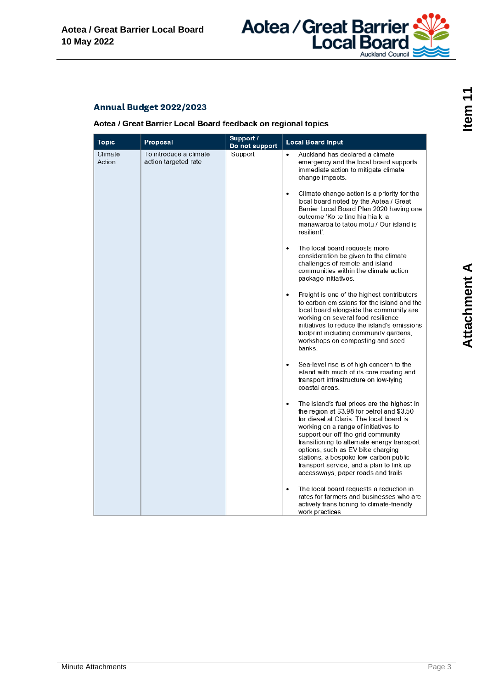

### <span id="page-2-0"></span>Annual Budget 2022/2023

Aotea / Great Barrier Local Board feedback on regional topics

| <b>Topic</b>      | Proposal                                       | Support /                 | <b>Local Board Input</b>                                                                                                                                                                                                                                                                                                                                                                                                                                                                                                                                                                                                                                                                                                                                                                                                                                                                                                                                                                                                                                                                                                                                                                                                                                                                     |
|-------------------|------------------------------------------------|---------------------------|----------------------------------------------------------------------------------------------------------------------------------------------------------------------------------------------------------------------------------------------------------------------------------------------------------------------------------------------------------------------------------------------------------------------------------------------------------------------------------------------------------------------------------------------------------------------------------------------------------------------------------------------------------------------------------------------------------------------------------------------------------------------------------------------------------------------------------------------------------------------------------------------------------------------------------------------------------------------------------------------------------------------------------------------------------------------------------------------------------------------------------------------------------------------------------------------------------------------------------------------------------------------------------------------|
| Climate<br>Action | To introduce a climate<br>action targeted rate | Do not support<br>Support | Auckland has declared a climate<br>$\bullet$<br>emergency and the local board supports<br>immediate action to mitigate climate<br>change impacts.<br>Climate change action is a priority for the<br>$\bullet$<br>local board noted by the Aotea / Great<br>Barrier Local Board Plan 2020 having one<br>outcome 'Ko te tino hia hia ki a<br>manawaroa to tatou motu / Our island is<br>resilient'.<br>The local board requests more<br>$\bullet$<br>consideration be given to the climate<br>challenges of remote and island<br>communities within the climate action<br>package initiatives.<br>Freight is one of the highest contributors<br>$\bullet$<br>to carbon emissions for the island and the<br>local board alongside the community are<br>working on several food resilience<br>initiatives to reduce the island's emissions<br>footprint including community gardens,<br>workshops on composting and seed<br>banks.<br>Sea-level rise is of high concern to the<br>$\bullet$<br>island with much of its core roading and<br>transport infrastructure on low-lying<br>coastal areas.<br>The island's fuel prices are the highest in<br>$\bullet$<br>the region at \$3.98 for petrol and \$3.50<br>for diesel at Claris. The local board is<br>working on a range of initiatives to |
|                   |                                                |                           | support our off-the-grid community<br>transitioning to alternate energy transport<br>options, such as EV bike charging<br>stations, a bespoke low-carbon public<br>transport service, and a plan to link up<br>accessways, paper roads and trails.                                                                                                                                                                                                                                                                                                                                                                                                                                                                                                                                                                                                                                                                                                                                                                                                                                                                                                                                                                                                                                           |
|                   |                                                |                           | The local board requests a reduction in<br>$\bullet$<br>rates for farmers and businesses who are<br>actively transitioning to climate-friendly<br>work practices                                                                                                                                                                                                                                                                                                                                                                                                                                                                                                                                                                                                                                                                                                                                                                                                                                                                                                                                                                                                                                                                                                                             |

Item<sub>11</sub>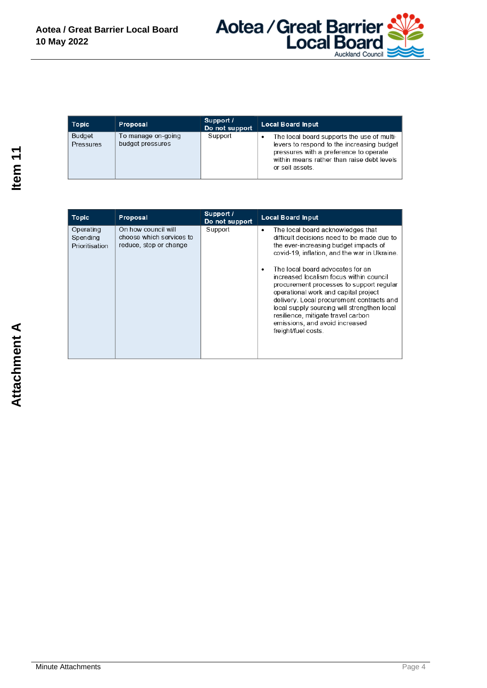

| Topic               | Proposal                               | Support /<br>Do not support | <b>Local Board Input</b>                                                                                                                                                                            |
|---------------------|----------------------------------------|-----------------------------|-----------------------------------------------------------------------------------------------------------------------------------------------------------------------------------------------------|
| Budget<br>Pressures | To manage on-going<br>budget pressures | Support                     | The local board supports the use of multi-<br>levers to respond to the increasing budget<br>pressures with a preference to operate<br>within means rather than raise debt levels<br>or sell assets. |

| Topic                                   | Proposal                                                                  | Support /<br>Do not support | <b>Local Board Input</b>                                                                                                                                                                                                                                                                                                                                   |
|-----------------------------------------|---------------------------------------------------------------------------|-----------------------------|------------------------------------------------------------------------------------------------------------------------------------------------------------------------------------------------------------------------------------------------------------------------------------------------------------------------------------------------------------|
| Operating<br>Spending<br>Prioritisation | On how council will<br>choose which services to<br>reduce, stop or change | Support                     | The local board acknowledges that<br>٠<br>difficult decisions need to be made due to<br>the ever-increasing budget impacts of<br>covid-19, inflation, and the war in Ukraine.                                                                                                                                                                              |
|                                         |                                                                           |                             | The local board advocates for an<br>increased localism focus within council<br>procurement processes to support regular<br>operational work and capital project<br>delivery. Local procurement contracts and<br>local supply sourcing will strengthen local<br>resilience, mitigate travel carbon<br>emissions, and avoid increased<br>freight/fuel costs. |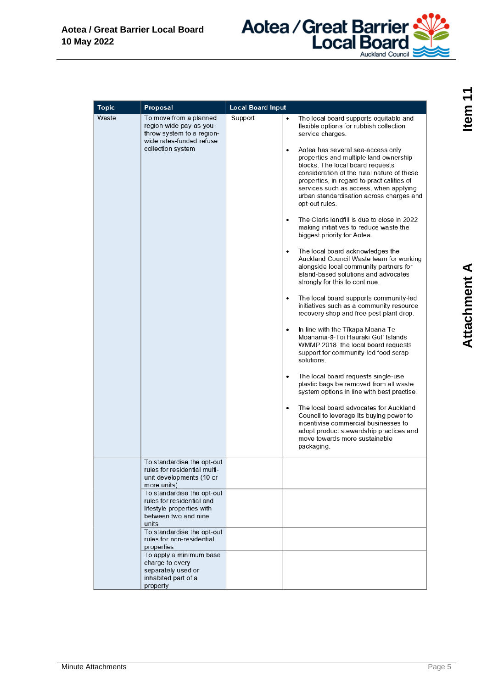

| <b>Topic</b> | Proposal                                                                                                                                                                                                                                                                                                                                                                                                       | <b>Local Board Input</b> |                                                                                                                                                                                                                                                                                                                                                                                                                                                                                                                                                                                                                                                                                                                                                                                                                                                                                                                                                                                                                                                                                                                                                                                                                                                                                                                                                                                                                                                                                                                        |
|--------------|----------------------------------------------------------------------------------------------------------------------------------------------------------------------------------------------------------------------------------------------------------------------------------------------------------------------------------------------------------------------------------------------------------------|--------------------------|------------------------------------------------------------------------------------------------------------------------------------------------------------------------------------------------------------------------------------------------------------------------------------------------------------------------------------------------------------------------------------------------------------------------------------------------------------------------------------------------------------------------------------------------------------------------------------------------------------------------------------------------------------------------------------------------------------------------------------------------------------------------------------------------------------------------------------------------------------------------------------------------------------------------------------------------------------------------------------------------------------------------------------------------------------------------------------------------------------------------------------------------------------------------------------------------------------------------------------------------------------------------------------------------------------------------------------------------------------------------------------------------------------------------------------------------------------------------------------------------------------------------|
| Waste        | To move from a planned<br>region-wide pay-as-you-<br>throw system to a region-<br>wide rates-funded refuse<br>collection system                                                                                                                                                                                                                                                                                | Support                  | $\bullet$<br>The local board supports equitable and<br>flexible options for rubbish collection<br>service charges.<br>Aotea has several sea-access only<br>$\bullet$<br>properties and multiple land ownership<br>blocks. The local board requests<br>consideration of the rural nature of these<br>properties, in regard to practicalities of<br>services such as access, when applying<br>urban standardisation across charges and<br>opt-out rules.<br>The Claris landfill is due to close in 2022<br>٠<br>making initiatives to reduce waste the<br>biggest priority for Aotea.<br>The local board acknowledges the<br>$\bullet$<br>Auckland Council Waste team for working<br>alongside local community partners for<br>island-based solutions and advocates<br>strongly for this to continue.<br>The local board supports community-led<br>$\bullet$<br>initiatives such as a community resource<br>recovery shop and free pest plant drop.<br>In line with the Tīkapa Moana Te<br>$\bullet$<br>Moananui-ā-Toi Hauraki Gulf Islands<br>WMMP 2018, the local board requests<br>support for community-led food scrap<br>solutions.<br>The local board requests single-use<br>$\bullet$<br>plastic bags be removed from all waste<br>system options in line with best practise.<br>The local board advocates for Auckland<br>$\bullet$<br>Council to leverage its buying power to<br>incentivise commercial businesses to<br>adopt product stewardship practices and<br>move towards more sustainable<br>packaging. |
|              | To standardise the opt-out<br>rules for residential multi-<br>unit developments (10 or<br>more units)<br>To standardise the opt-out<br>rules for residential and<br>lifestyle properties with<br>between two and nine<br>units<br>To standardise the opt-out<br>rules for non-residential<br>properties<br>To apply a minimum base<br>charge to every<br>separately used or<br>inhabited part of a<br>property |                          |                                                                                                                                                                                                                                                                                                                                                                                                                                                                                                                                                                                                                                                                                                                                                                                                                                                                                                                                                                                                                                                                                                                                                                                                                                                                                                                                                                                                                                                                                                                        |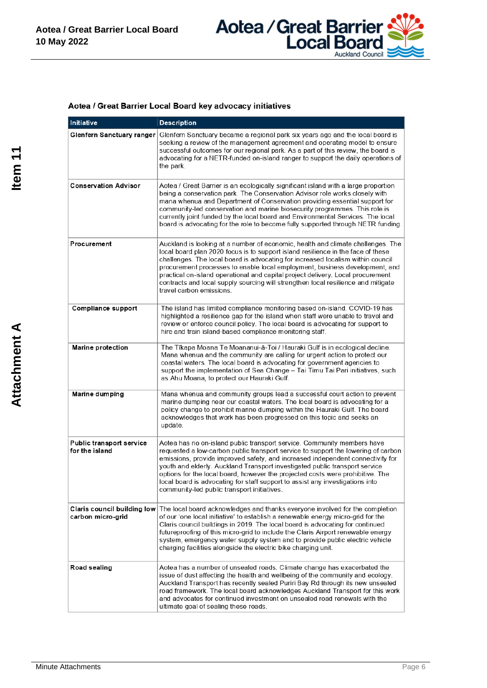

#### Aotea / Great Barrier Local Board key advocacy initiatives

| Initiative                                              | <b>Description</b>                                                                                                                                                                                                                                                                                                                                                                                                                                                                                                                              |
|---------------------------------------------------------|-------------------------------------------------------------------------------------------------------------------------------------------------------------------------------------------------------------------------------------------------------------------------------------------------------------------------------------------------------------------------------------------------------------------------------------------------------------------------------------------------------------------------------------------------|
| Glenfern Sanctuary ranger                               | Glenfern Sanctuary became a regional park six years ago and the local board is<br>seeking a review of the management agreement and operating model to ensure<br>successful outcomes for our regional park. As a part of this review, the board is<br>advocating for a NETR-funded on-island ranger to support the daily operations of<br>the park.                                                                                                                                                                                              |
| <b>Conservation Advisor</b>                             | Aotea / Great Barrier is an ecologically significant island with a large proportion<br>being a conservation park. The Conservation Advisor role works closely with<br>mana whenua and Department of Conservation providing essential support for<br>community-led conservation and marine biosecurity programmes. This role is<br>currently joint funded by the local board and Environmental Services. The local<br>board is advocating for the role to become fully supported through NETR funding.                                           |
| Procurement                                             | Auckland is looking at a number of economic, health and climate challenges. The<br>local board plan 2020 focus is to support island resilience in the face of these<br>challenges. The local board is advocating for increased localism within council<br>procurement processes to enable local employment, business development, and<br>practical on-island operational and capital project delivery. Local procurement<br>contracts and local supply sourcing will strengthen local resilience and mitigate<br>travel carbon emissions.       |
| <b>Compliance support</b>                               | The island has limited compliance monitoring based on-island. COVID-19 has<br>highlighted a resilience gap for the island when staff were unable to travel and<br>review or enforce council policy. The local board is advocating for support to<br>hire and train island-based compliance monitoring staff.                                                                                                                                                                                                                                    |
| <b>Marine protection</b>                                | The Tīkapa Moana Te Moananui-ā-Toi / Hauraki Gulf is in ecological decline.<br>Mana whenua and the community are calling for urgent action to protect our<br>coastal waters. The local board is advocating for government agencies to<br>support the implementation of Sea Change - Tai Timu Tai Pari initiatives, such<br>as Ahu Moana, to protect our Hauraki Gulf.                                                                                                                                                                           |
| Marine dumping                                          | Mana whenua and community groups lead a successful court action to prevent<br>marine dumping near our coastal waters. The local board is advocating for a<br>policy change to prohibit marine dumping within the Hauraki Gulf. The board<br>acknowledges that work has been progressed on this topic and seeks an<br>update.                                                                                                                                                                                                                    |
| <b>Public transport service</b><br>for the island       | Aotea has no on-island public transport service. Community members have<br>requested a low-carbon public transport service to support the lowering of carbon<br>emissions, provide improved safety, and increased independent connectivity for<br>youth and elderly. Auckland Transport investigated public transport service<br>options for the local board, however the projected costs were prohibitive. The<br>local board is advocating for staff support to assist any investigations into<br>community-led public transport initiatives. |
| <b>Claris council building low</b><br>carbon micro-grid | The local board acknowledges and thanks everyone involved for the completion<br>of our 'one local initiative' to establish a renewable energy micro-grid for the<br>Claris council buildings in 2019. The local board is advocating for continued<br>futureproofing of this micro-grid to include the Claris Airport renewable energy<br>system, emergency water supply system and to provide public electric vehicle<br>charging facilities alongside the electric bike charging unit.                                                         |
| Road sealing                                            | Aotea has a number of unsealed roads. Climate change has exacerbated the<br>issue of dust affecting the health and wellbeing of the community and ecology.<br>Auckland Transport has recently sealed Puriri Bay Rd through its new unsealed<br>road framework. The local board acknowledges Auckland Transport for this work<br>and advocates for continued investment on unsealed road renewals with the<br>ultimate goal of sealing these roads.                                                                                              |